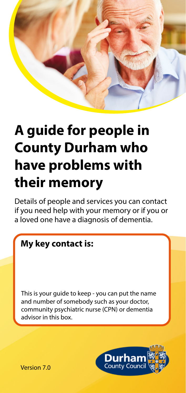

# **A guide for people in County Durham who have problems with their memory**

Details of people and services you can contact if you need help with your memory or if you or a loved one have a diagnosis of dementia.

### **My key contact is:**

This is your guide to keep - you can put the name and number of somebody such as your doctor, community psychiatric nurse (CPN) or dementia advisor in this box.



Version 7.0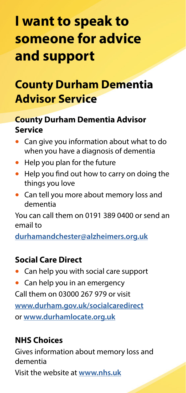# **I want to speak to someone for advice and support**

## **County Durham Dementia Advisor Service**

### **County Durham Dementia Advisor Service**

- Can give you information about what to do when you have a diagnosis of dementia
- Help you plan for the future
- Help you find out how to carry on doing the things you love
- Can tell you more about memory loss and dementia

You can call them on 0191 389 0400 or send an email to

**[durhamandchester@alzheimers.org.uk](http://durhamandchester@alzheimers.org.uk)**

### **Social Care Direct**

- Can help you with social care support
- Can help you in an emergency

Call them on 03000 267 979 or visit **[www.durham.gov.uk/socialcaredirect](http://www.durham.gov.uk/socialcaredirect)** or **[www.durhamlocate.org.uk](http://www.durhamlocate.org.uk)**

### **NHS Choices**

Gives information about memory loss and dementia Visit the website at **[www.nhs.uk](http://www.nhs.uk)**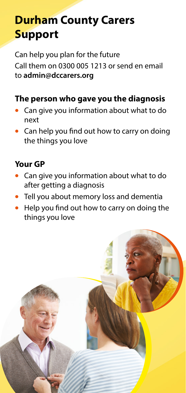# **Durham County Carers Support**

Can help you plan for the future Call them on 0300 005 1213 or send en email to **admin@dccarers.org**

### **The person who gave you the diagnosis**

- Can give you information about what to do next
- Can help you find out how to carry on doing the things you love

### **Your GP**

- Can give you information about what to do after getting a diagnosis
- Tell you about memory loss and dementia
- Help you find out how to carry on doing the things you love

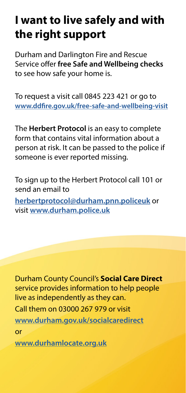# **I want to live safely and with the right support**

Durham and Darlington Fire and Rescue Service offer **free Safe and Wellbeing checks** to see how safe your home is.

To request a visit call 0845 223 421 or go to **[www.ddfire.gov.uk/free-safe-and-wellbeing-visit](http://www.ddfire.gov.uk/free-safe-and-wellbeing-visit)**

The **Herbert Protocol** is an easy to complete form that contains vital information about a person at risk. It can be passed to the police if someone is ever reported missing.

To sign up to the Herbert Protocol call 101 or send an email to **[herbertprotocol@durham.pnn.policeuk](http://herbertprotocol@durham.pnn.policeuk)** or visit **[www.durham.police.uk](http://www.durham.police.uk)**

Durham County Council's **Social Care Direct**  service provides information to help people live as independently as they can. Call them on 03000 267 979 or visit

**[www.durham.gov.uk/socialcaredirect](http://www.durham.gov.uk/socialcaredirect)**

or

**[www.durhamlocate.org.uk](http://www.durhamlocate.org.uk)**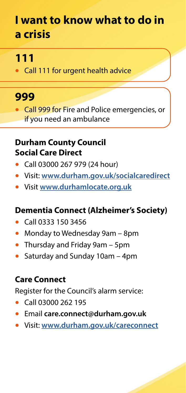## **I want to know what to do in a crisis**

### **111**

• Call 111 for urgent health advice

### **999**

• Call 999 for Fire and Police emergencies, or if you need an ambulance

### **Durham County Council Social Care Direct**

- Call 03000 267 979 (24 hour)
- Visit: **[www.durham.gov.uk/socialcaredirect](http://www.durham.gov.uk/socialcaredirect)**
- Visit **[www.durhamlocate.org.uk](http://www.durhamlocate.org.uk)**

### **Dementia Connect (Alzheimer's Society)**

- Call 0333 150 3456
- Monday to Wednesday 9am 8pm
- Thursday and Friday 9am 5pm
- Saturday and Sunday 10am 4pm

### **Care Connect**

Register for the Council's alarm service:

- Call 03000 262 195
- Email **care.connect@durham.gov.uk**
- Visit: **[www.durham.gov.uk/careconnect](http://www.durham.gov.uk/careconnect)**